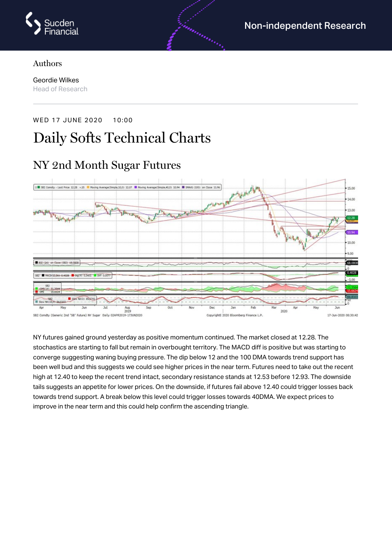

#### Authors

Geordie Wilkes Head of Research

#### WED 17 JUNE 2020 10:00

# Daily Softs Technical Charts

#### U SE2 Comdty - Last Price 12.28 - 15 Moving Average(Simple,10,0) 12.07 M Moving Average(S 40.01 10.94 | SHAVS (100) on Close 11.96  $15.00$ 14.00 er'istraech  $13.00$ T<sup>he</sup>laple<sup>s</sup>pto **PAART** 10.00 9.OC 851 (14) on Close (582) 68.0 68,080 PE(14) 31.3564 10-71-54-810 Aug<br>2019 2020 dty (Generic 2nd "SB" Future) NY Sugar Daily 024PR2019-173UN2020 Copyright@ 2020 Bloomberg Finance L.P. 17-Jun-2020 08:30:42  $SRS$

NY futures gained ground yesterday as positive momentum continued. The market closed at 12.28. The stochastics are starting to fall but remain in overbought territory. The MACD diff is positive but was starting to converge suggesting waning buying pressure. The dip below 12 and the 100 DMA towards trend support has been well bud and this suggests we could see higher prices in the near term. Futures need to take out the recent high at 12.40 to keep the recent trend intact, secondary resistance stands at 12.53 before 12.93. The downside tails suggests an appetite for lower prices. On the downside, if futures fail above 12.40 could trigger losses back towards trend support. A break below this level could trigger losses towards 40DMA. We expect prices to improve in the near term and this could help confirm the ascending triangle.

# NY 2nd Month Sugar Futures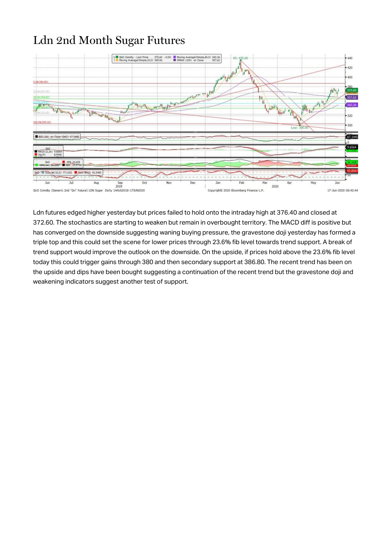### Ldn 2nd Month Sugar Futures



Ldn futures edged higher yesterday but prices failed to hold onto the intraday high at 376.40 and closed at 372.60. The stochastics are starting to weaken but remain in overbought territory. The MACD diff is positive but has converged on the downside suggesting waning buying pressure, the gravestone doji yesterday has formed a triple top and this could set the scene for lower prices through 23.6% fib level towards trend support. A break of trend support would improve the outlook on the downside. On the upside, if prices hold above the 23.6% fib level today this could trigger gains through 380 and then secondary support at 386.80. The recent trend has been on the upside and dips have been bought suggesting a continuation of the recent trend but the gravestone doji and weakening indicators suggest another test of support.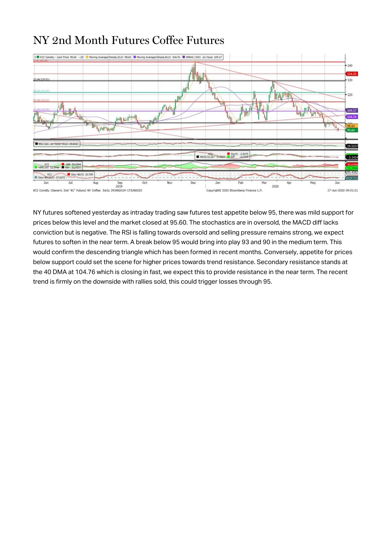### NY 2nd Month Futures Coffee Futures



NY futures softened yesterday as intraday trading saw futures test appetite below 95, there was mild support for prices below this level and the market closed at 95.60. The stochastics are in oversold, the MACD diff lacks conviction but is negative. The RSI is falling towards oversold and selling pressure remains strong, we expect futures to soften in the near term. A break below 95 would bring into play 93 and 90 in the medium term. This would confirm the descending triangle which has been formed in recent months. Conversely, appetite for prices below support could set the scene for higher prices towards trend resistance. Secondary resistance stands at the 40 DMA at 104.76 which is closing in fast, we expect this to provide resistance in the near term. The recent trend is firmly on the downside with rallies sold, this could trigger losses through 95.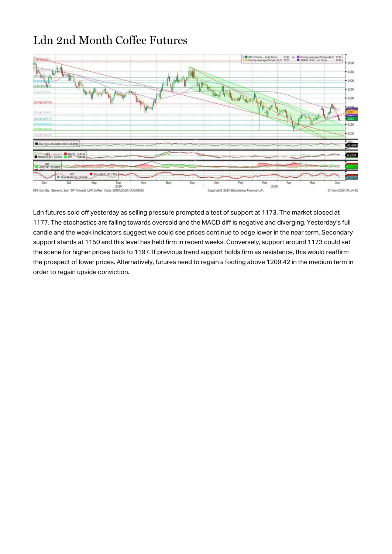# Ldn 2nd Month Coffee Futures



Ldn futures sold off yesterday as selling pressure prompted a test of support at 1173. The market closed at 1177. The stochastics are falling towards oversold and the MACD diff is negative and diverging. Yesterday's full candle and the weak indicators suggest we could see prices continue to edge lower in the near term. Secondary support stands at 1150 and this level has held firm in recent weeks. Conversely, support around 1173 could set the scene for higher prices back to 1197. If previous trend support holds firm as resistance, this would reaffirm the prospect of lower prices. Alternatively, futures need to regain a footing above 1209.42 in the medium term in order to regain upside conviction.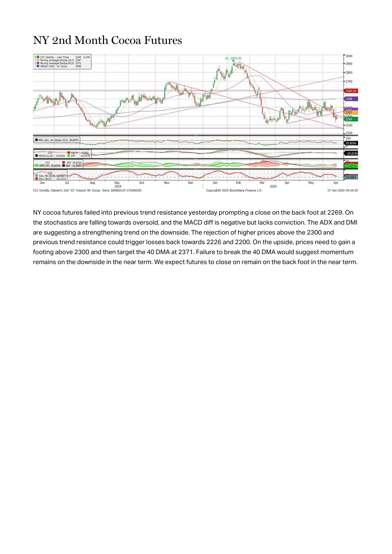### NY 2nd Month Cocoa Futures



NY cocoa futures failed into previous trend resistance yesterday prompting a close on the back foot at 2269. On the stochastics are falling towards oversold, and the MACD diff is negative but lacks conviction. The ADX and DMI are suggesting a strengthening trend on the downside. The rejection of higher prices above the 2300 and previous trend resistance could trigger losses back towards 2226 and 2200. On the upside, prices need to gain a footing above 2300 and then target the 40 DMA at 2371. Failure to break the 40 DMA would suggest momentum remains on the downside in the near term. We expect futures to close on remain on the back foot in the near term.